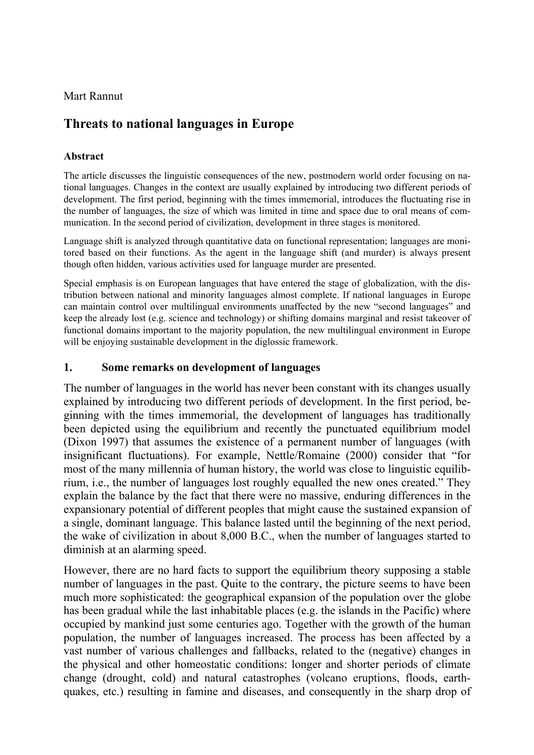Mart Rannut

# **Threats to national languages in Europe**

### **Abstract**

The article discusses the linguistic consequences of the new, postmodern world order focusing on national languages. Changes in the context are usually explained by introducing two different periods of development. The first period, beginning with the times immemorial, introduces the fluctuating rise in the number of languages, the size of which was limited in time and space due to oral means of communication. In the second period of civilization, development in three stages is monitored.

Language shift is analyzed through quantitative data on functional representation; languages are monitored based on their functions. As the agent in the language shift (and murder) is always present though often hidden, various activities used for language murder are presented.

Special emphasis is on European languages that have entered the stage of globalization, with the distribution between national and minority languages almost complete. If national languages in Europe can maintain control over multilingual environments unaffected by the new "second languages" and keep the already lost (e.g. science and technology) or shifting domains marginal and resist takeover of functional domains important to the majority population, the new multilingual environment in Europe will be enjoying sustainable development in the diglossic framework.

# **1. Some remarks on development of languages**

The number of languages in the world has never been constant with its changes usually explained by introducing two different periods of development. In the first period, beginning with the times immemorial, the development of languages has traditionally been depicted using the equilibrium and recently the punctuated equilibrium model (Dixon 1997) that assumes the existence of a permanent number of languages (with insignificant fluctuations). For example, Nettle/Romaine (2000) consider that "for most of the many millennia of human history, the world was close to linguistic equilibrium, i.e., the number of languages lost roughly equalled the new ones created." They explain the balance by the fact that there were no massive, enduring differences in the expansionary potential of different peoples that might cause the sustained expansion of a single, dominant language. This balance lasted until the beginning of the next period, the wake of civilization in about 8,000 B.C., when the number of languages started to diminish at an alarming speed.

However, there are no hard facts to support the equilibrium theory supposing a stable number of languages in the past. Quite to the contrary, the picture seems to have been much more sophisticated: the geographical expansion of the population over the globe has been gradual while the last inhabitable places (e.g. the islands in the Pacific) where occupied by mankind just some centuries ago. Together with the growth of the human population, the number of languages increased. The process has been affected by a vast number of various challenges and fallbacks, related to the (negative) changes in the physical and other homeostatic conditions: longer and shorter periods of climate change (drought, cold) and natural catastrophes (volcano eruptions, floods, earthquakes, etc.) resulting in famine and diseases, and consequently in the sharp drop of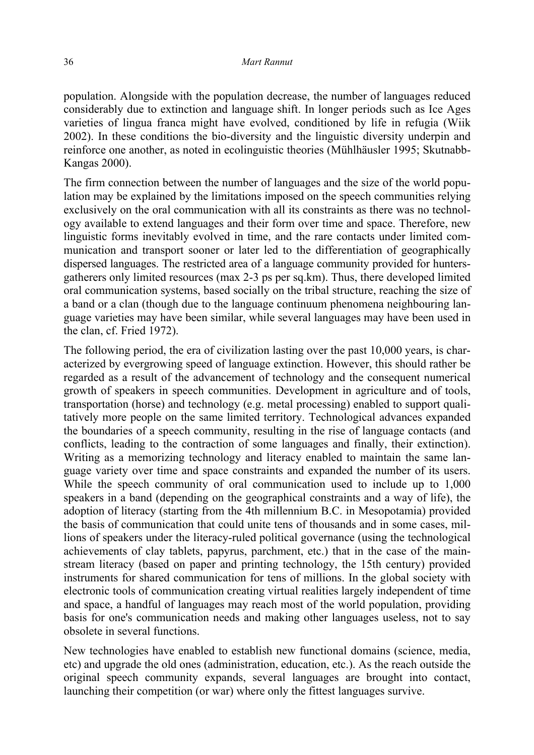population. Alongside with the population decrease, the number of languages reduced considerably due to extinction and language shift. In longer periods such as Ice Ages varieties of lingua franca might have evolved, conditioned by life in refugia (Wiik 2002). In these conditions the bio-diversity and the linguistic diversity underpin and reinforce one another, as noted in ecolinguistic theories (Mühlhäusler 1995; Skutnabb-Kangas 2000).

The firm connection between the number of languages and the size of the world population may be explained by the limitations imposed on the speech communities relying exclusively on the oral communication with all its constraints as there was no technology available to extend languages and their form over time and space. Therefore, new linguistic forms inevitably evolved in time, and the rare contacts under limited communication and transport sooner or later led to the differentiation of geographically dispersed languages. The restricted area of a language community provided for huntersgatherers only limited resources (max 2-3 ps per sq.km). Thus, there developed limited oral communication systems, based socially on the tribal structure, reaching the size of a band or a clan (though due to the language continuum phenomena neighbouring language varieties may have been similar, while several languages may have been used in the clan, cf. Fried 1972).

The following period, the era of civilization lasting over the past 10,000 years, is characterized by evergrowing speed of language extinction. However, this should rather be regarded as a result of the advancement of technology and the consequent numerical growth of speakers in speech communities. Development in agriculture and of tools, transportation (horse) and technology (e.g. metal processing) enabled to support qualitatively more people on the same limited territory. Technological advances expanded the boundaries of a speech community, resulting in the rise of language contacts (and conflicts, leading to the contraction of some languages and finally, their extinction). Writing as a memorizing technology and literacy enabled to maintain the same language variety over time and space constraints and expanded the number of its users. While the speech community of oral communication used to include up to 1,000 speakers in a band (depending on the geographical constraints and a way of life), the adoption of literacy (starting from the 4th millennium B.C. in Mesopotamia) provided the basis of communication that could unite tens of thousands and in some cases, millions of speakers under the literacy-ruled political governance (using the technological achievements of clay tablets, papyrus, parchment, etc.) that in the case of the mainstream literacy (based on paper and printing technology, the 15th century) provided instruments for shared communication for tens of millions. In the global society with electronic tools of communication creating virtual realities largely independent of time and space, a handful of languages may reach most of the world population, providing basis for one's communication needs and making other languages useless, not to say obsolete in several functions.

New technologies have enabled to establish new functional domains (science, media, etc) and upgrade the old ones (administration, education, etc.). As the reach outside the original speech community expands, several languages are brought into contact, launching their competition (or war) where only the fittest languages survive.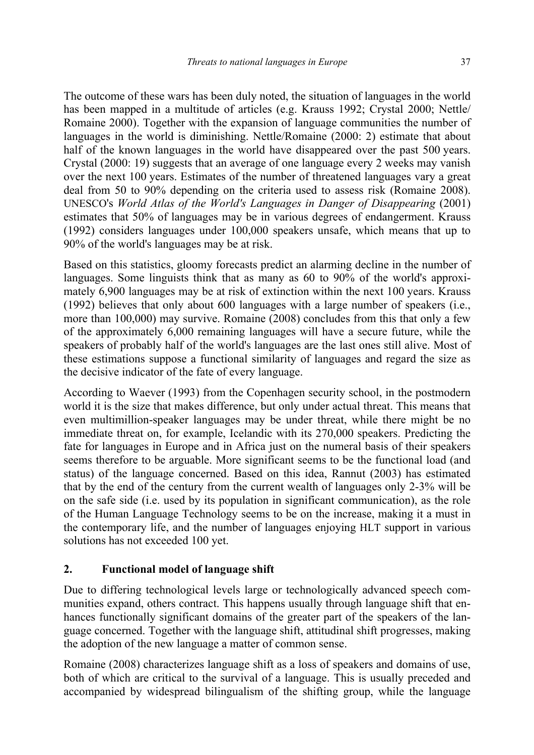The outcome of these wars has been duly noted, the situation of languages in the world has been mapped in a multitude of articles (e.g. Krauss 1992; Crystal 2000; Nettle/ Romaine 2000). Together with the expansion of language communities the number of languages in the world is diminishing. Nettle/Romaine (2000: 2) estimate that about half of the known languages in the world have disappeared over the past 500 years. Crystal (2000: 19) suggests that an average of one language every 2 weeks may vanish over the next 100 years. Estimates of the number of threatened languages vary a great deal from 50 to 90% depending on the criteria used to assess risk (Romaine 2008). UNESCO's *World Atlas of the World's Languages in Danger of Disappearing* (2001) estimates that 50% of languages may be in various degrees of endangerment. Krauss (1992) considers languages under 100,000 speakers unsafe, which means that up to 90% of the world's languages may be at risk.

Based on this statistics, gloomy forecasts predict an alarming decline in the number of languages. Some linguists think that as many as 60 to 90% of the world's approximately 6,900 languages may be at risk of extinction within the next 100 years. Krauss (1992) believes that only about 600 languages with a large number of speakers (i.e., more than 100,000) may survive. Romaine (2008) concludes from this that only a few of the approximately 6,000 remaining languages will have a secure future, while the speakers of probably half of the world's languages are the last ones still alive. Most of these estimations suppose a functional similarity of languages and regard the size as the decisive indicator of the fate of every language.

According to Waever (1993) from the Copenhagen security school, in the postmodern world it is the size that makes difference, but only under actual threat. This means that even multimillion-speaker languages may be under threat, while there might be no immediate threat on, for example, Icelandic with its 270,000 speakers. Predicting the fate for languages in Europe and in Africa just on the numeral basis of their speakers seems therefore to be arguable. More significant seems to be the functional load (and status) of the language concerned. Based on this idea, Rannut (2003) has estimated that by the end of the century from the current wealth of languages only 2-3% will be on the safe side (i.e. used by its population in significant communication), as the role of the Human Language Technology seems to be on the increase, making it a must in the contemporary life, and the number of languages enjoying HLT support in various solutions has not exceeded 100 yet.

### **2. Functional model of language shift**

Due to differing technological levels large or technologically advanced speech communities expand, others contract. This happens usually through language shift that enhances functionally significant domains of the greater part of the speakers of the language concerned. Together with the language shift, attitudinal shift progresses, making the adoption of the new language a matter of common sense.

Romaine (2008) characterizes language shift as a loss of speakers and domains of use, both of which are critical to the survival of a language. This is usually preceded and accompanied by widespread bilingualism of the shifting group, while the language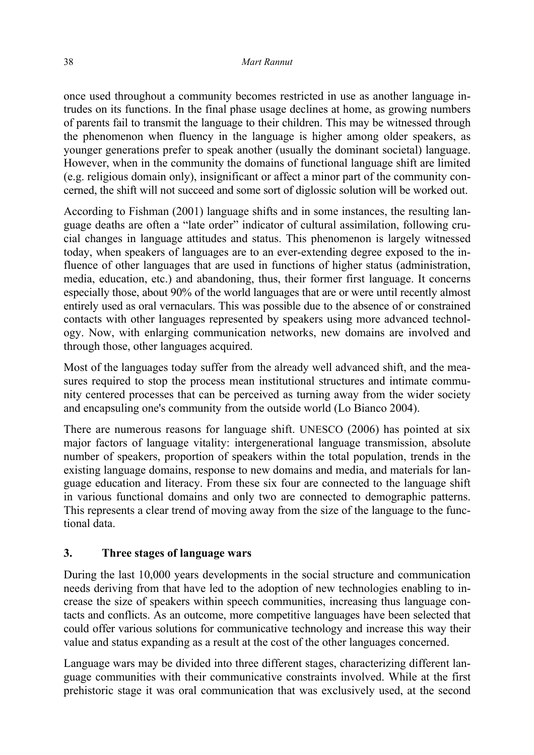once used throughout a community becomes restricted in use as another language intrudes on its functions. In the final phase usage declines at home, as growing numbers of parents fail to transmit the language to their children. This may be witnessed through the phenomenon when fluency in the language is higher among older speakers, as younger generations prefer to speak another (usually the dominant societal) language. However, when in the community the domains of functional language shift are limited (e.g. religious domain only), insignificant or affect a minor part of the community concerned, the shift will not succeed and some sort of diglossic solution will be worked out.

According to Fishman (2001) language shifts and in some instances, the resulting language deaths are often a "late order" indicator of cultural assimilation, following crucial changes in language attitudes and status. This phenomenon is largely witnessed today, when speakers of languages are to an ever-extending degree exposed to the influence of other languages that are used in functions of higher status (administration, media, education, etc.) and abandoning, thus, their former first language. It concerns especially those, about 90% of the world languages that are or were until recently almost entirely used as oral vernaculars. This was possible due to the absence of or constrained contacts with other languages represented by speakers using more advanced technology. Now, with enlarging communication networks, new domains are involved and through those, other languages acquired.

Most of the languages today suffer from the already well advanced shift, and the measures required to stop the process mean institutional structures and intimate community centered processes that can be perceived as turning away from the wider society and encapsuling one's community from the outside world (Lo Bianco 2004).

There are numerous reasons for language shift. UNESCO (2006) has pointed at six major factors of language vitality: intergenerational language transmission, absolute number of speakers, proportion of speakers within the total population, trends in the existing language domains, response to new domains and media, and materials for language education and literacy. From these six four are connected to the language shift in various functional domains and only two are connected to demographic patterns. This represents a clear trend of moving away from the size of the language to the functional data.

### **3. Three stages of language wars**

During the last 10,000 years developments in the social structure and communication needs deriving from that have led to the adoption of new technologies enabling to increase the size of speakers within speech communities, increasing thus language contacts and conflicts. As an outcome, more competitive languages have been selected that could offer various solutions for communicative technology and increase this way their value and status expanding as a result at the cost of the other languages concerned.

Language wars may be divided into three different stages, characterizing different language communities with their communicative constraints involved. While at the first prehistoric stage it was oral communication that was exclusively used, at the second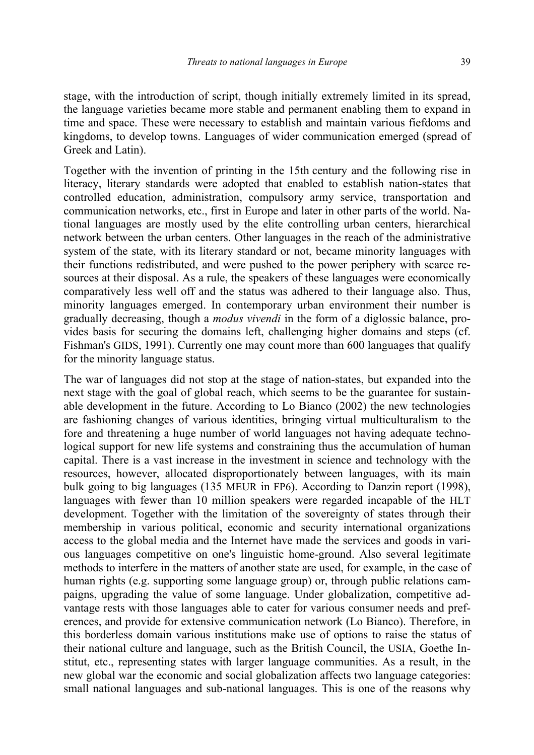stage, with the introduction of script, though initially extremely limited in its spread, the language varieties became more stable and permanent enabling them to expand in time and space. These were necessary to establish and maintain various fiefdoms and kingdoms, to develop towns. Languages of wider communication emerged (spread of Greek and Latin).

Together with the invention of printing in the 15th century and the following rise in literacy, literary standards were adopted that enabled to establish nation-states that controlled education, administration, compulsory army service, transportation and communication networks, etc., first in Europe and later in other parts of the world. National languages are mostly used by the elite controlling urban centers, hierarchical network between the urban centers. Other languages in the reach of the administrative system of the state, with its literary standard or not, became minority languages with their functions redistributed, and were pushed to the power periphery with scarce resources at their disposal. As a rule, the speakers of these languages were economically comparatively less well off and the status was adhered to their language also. Thus, minority languages emerged. In contemporary urban environment their number is gradually decreasing, though a *modus vivendi* in the form of a diglossic balance, provides basis for securing the domains left, challenging higher domains and steps (cf. Fishman's GIDS, 1991). Currently one may count more than 600 languages that qualify for the minority language status.

The war of languages did not stop at the stage of nation-states, but expanded into the next stage with the goal of global reach, which seems to be the guarantee for sustainable development in the future. According to Lo Bianco (2002) the new technologies are fashioning changes of various identities, bringing virtual multiculturalism to the fore and threatening a huge number of world languages not having adequate technological support for new life systems and constraining thus the accumulation of human capital. There is a vast increase in the investment in science and technology with the resources, however, allocated disproportionately between languages, with its main bulk going to big languages (135 MEUR in FP6). According to Danzin report (1998), languages with fewer than 10 million speakers were regarded incapable of the HLT development. Together with the limitation of the sovereignty of states through their membership in various political, economic and security international organizations access to the global media and the Internet have made the services and goods in various languages competitive on one's linguistic home-ground. Also several legitimate methods to interfere in the matters of another state are used, for example, in the case of human rights (e.g. supporting some language group) or, through public relations campaigns, upgrading the value of some language. Under globalization, competitive advantage rests with those languages able to cater for various consumer needs and preferences, and provide for extensive communication network (Lo Bianco). Therefore, in this borderless domain various institutions make use of options to raise the status of their national culture and language, such as the British Council, the USIA, Goethe Institut, etc., representing states with larger language communities. As a result, in the new global war the economic and social globalization affects two language categories: small national languages and sub-national languages. This is one of the reasons why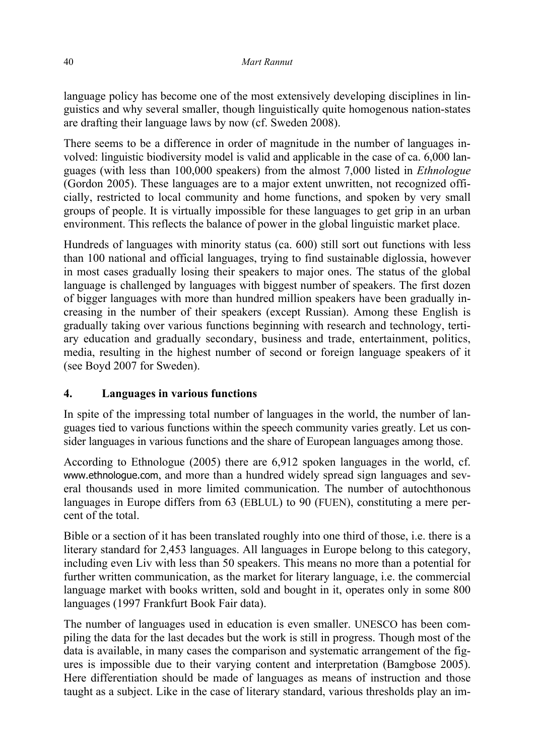language policy has become one of the most extensively developing disciplines in linguistics and why several smaller, though linguistically quite homogenous nation-states are drafting their language laws by now (cf. Sweden 2008).

There seems to be a difference in order of magnitude in the number of languages involved: linguistic biodiversity model is valid and applicable in the case of ca. 6,000 languages (with less than 100,000 speakers) from the almost 7,000 listed in *Ethnologue* (Gordon 2005). These languages are to a major extent unwritten, not recognized officially, restricted to local community and home functions, and spoken by very small groups of people. It is virtually impossible for these languages to get grip in an urban environment. This reflects the balance of power in the global linguistic market place.

Hundreds of languages with minority status (ca. 600) still sort out functions with less than 100 national and official languages, trying to find sustainable diglossia, however in most cases gradually losing their speakers to major ones. The status of the global language is challenged by languages with biggest number of speakers. The first dozen of bigger languages with more than hundred million speakers have been gradually increasing in the number of their speakers (except Russian). Among these English is gradually taking over various functions beginning with research and technology, tertiary education and gradually secondary, business and trade, entertainment, politics, media, resulting in the highest number of second or foreign language speakers of it (see Boyd 2007 for Sweden).

### **4. Languages in various functions**

In spite of the impressing total number of languages in the world, the number of languages tied to various functions within the speech community varies greatly. Let us consider languages in various functions and the share of European languages among those.

According to Ethnologue (2005) there are 6,912 spoken languages in the world, cf. www.ethnologue.com, and more than a hundred widely spread sign languages and several thousands used in more limited communication. The number of autochthonous languages in Europe differs from 63 (EBLUL) to 90 (FUEN), constituting a mere percent of the total.

Bible or a section of it has been translated roughly into one third of those, i.e. there is a literary standard for 2,453 languages. All languages in Europe belong to this category, including even Liv with less than 50 speakers. This means no more than a potential for further written communication, as the market for literary language, i.e. the commercial language market with books written, sold and bought in it, operates only in some 800 languages (1997 Frankfurt Book Fair data).

The number of languages used in education is even smaller. UNESCO has been compiling the data for the last decades but the work is still in progress. Though most of the data is available, in many cases the comparison and systematic arrangement of the figures is impossible due to their varying content and interpretation (Bamgbose 2005). Here differentiation should be made of languages as means of instruction and those taught as a subject. Like in the case of literary standard, various thresholds play an im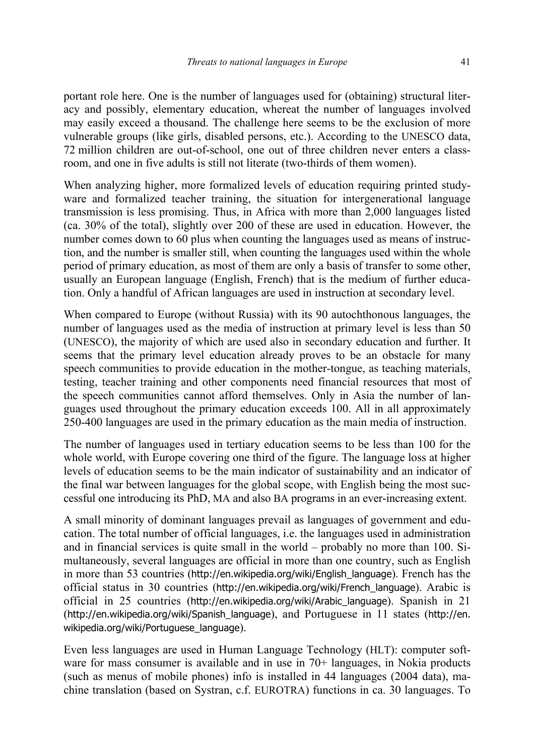portant role here. One is the number of languages used for (obtaining) structural literacy and possibly, elementary education, whereat the number of languages involved may easily exceed a thousand. The challenge here seems to be the exclusion of more vulnerable groups (like girls, disabled persons, etc.). According to the UNESCO data, 72 million children are out-of-school, one out of three children never enters a classroom, and one in five adults is still not literate (two-thirds of them women).

When analyzing higher, more formalized levels of education requiring printed studyware and formalized teacher training, the situation for intergenerational language transmission is less promising. Thus, in Africa with more than 2,000 languages listed (ca. 30% of the total), slightly over 200 of these are used in education. However, the number comes down to 60 plus when counting the languages used as means of instruction, and the number is smaller still, when counting the languages used within the whole period of primary education, as most of them are only a basis of transfer to some other, usually an European language (English, French) that is the medium of further education. Only a handful of African languages are used in instruction at secondary level.

When compared to Europe (without Russia) with its 90 autochthonous languages, the number of languages used as the media of instruction at primary level is less than 50 (UNESCO), the majority of which are used also in secondary education and further. It seems that the primary level education already proves to be an obstacle for many speech communities to provide education in the mother-tongue, as teaching materials, testing, teacher training and other components need financial resources that most of the speech communities cannot afford themselves. Only in Asia the number of languages used throughout the primary education exceeds 100. All in all approximately 250-400 languages are used in the primary education as the main media of instruction.

The number of languages used in tertiary education seems to be less than 100 for the whole world, with Europe covering one third of the figure. The language loss at higher levels of education seems to be the main indicator of sustainability and an indicator of the final war between languages for the global scope, with English being the most successful one introducing its PhD, MA and also BA programs in an ever-increasing extent.

A small minority of dominant languages prevail as languages of government and education. The total number of official languages, i.e. the languages used in administration and in financial services is quite small in the world – probably no more than 100. Simultaneously, several languages are official in more than one country, such as English in more than 53 countries (http://en.wikipedia.org/wiki/English\_language). French has the official status in 30 countries (http://en.wikipedia.org/wiki/French\_language). Arabic is official in 25 countries (http://en.wikipedia.org/wiki/Arabic\_language). Spanish in 21 (http://en.wikipedia.org/wiki/Spanish\_language), and Portuguese in 11 states (http://en. wikipedia.org/wiki/Portuguese\_language).

Even less languages are used in Human Language Technology (HLT): computer software for mass consumer is available and in use in 70+ languages, in Nokia products (such as menus of mobile phones) info is installed in 44 languages (2004 data), machine translation (based on Systran, c.f. EUROTRA) functions in ca. 30 languages. To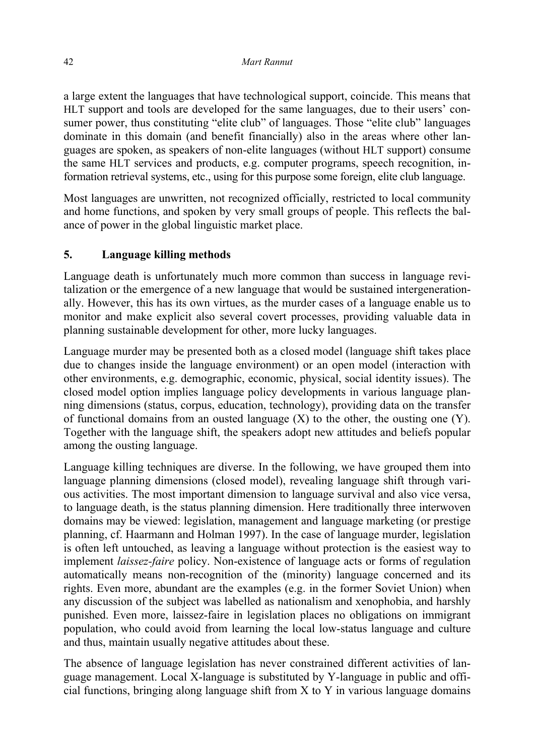a large extent the languages that have technological support, coincide. This means that HLT support and tools are developed for the same languages, due to their users' consumer power, thus constituting "elite club" of languages. Those "elite club" languages dominate in this domain (and benefit financially) also in the areas where other languages are spoken, as speakers of non-elite languages (without HLT support) consume the same HLT services and products, e.g. computer programs, speech recognition, information retrieval systems, etc., using for this purpose some foreign, elite club language.

Most languages are unwritten, not recognized officially, restricted to local community and home functions, and spoken by very small groups of people. This reflects the balance of power in the global linguistic market place.

# **5. Language killing methods**

Language death is unfortunately much more common than success in language revitalization or the emergence of a new language that would be sustained intergenerationally. However, this has its own virtues, as the murder cases of a language enable us to monitor and make explicit also several covert processes, providing valuable data in planning sustainable development for other, more lucky languages.

Language murder may be presented both as a closed model (language shift takes place due to changes inside the language environment) or an open model (interaction with other environments, e.g. demographic, economic, physical, social identity issues). The closed model option implies language policy developments in various language planning dimensions (status, corpus, education, technology), providing data on the transfer of functional domains from an ousted language  $(X)$  to the other, the ousting one  $(Y)$ . Together with the language shift, the speakers adopt new attitudes and beliefs popular among the ousting language.

Language killing techniques are diverse. In the following, we have grouped them into language planning dimensions (closed model), revealing language shift through various activities. The most important dimension to language survival and also vice versa, to language death, is the status planning dimension. Here traditionally three interwoven domains may be viewed: legislation, management and language marketing (or prestige planning, cf. Haarmann and Holman 1997). In the case of language murder, legislation is often left untouched, as leaving a language without protection is the easiest way to implement *laissez-faire* policy. Non-existence of language acts or forms of regulation automatically means non-recognition of the (minority) language concerned and its rights. Even more, abundant are the examples (e.g. in the former Soviet Union) when any discussion of the subject was labelled as nationalism and xenophobia, and harshly punished. Even more, laissez-faire in legislation places no obligations on immigrant population, who could avoid from learning the local low-status language and culture and thus, maintain usually negative attitudes about these.

The absence of language legislation has never constrained different activities of language management. Local X-language is substituted by Y-language in public and official functions, bringing along language shift from X to Y in various language domains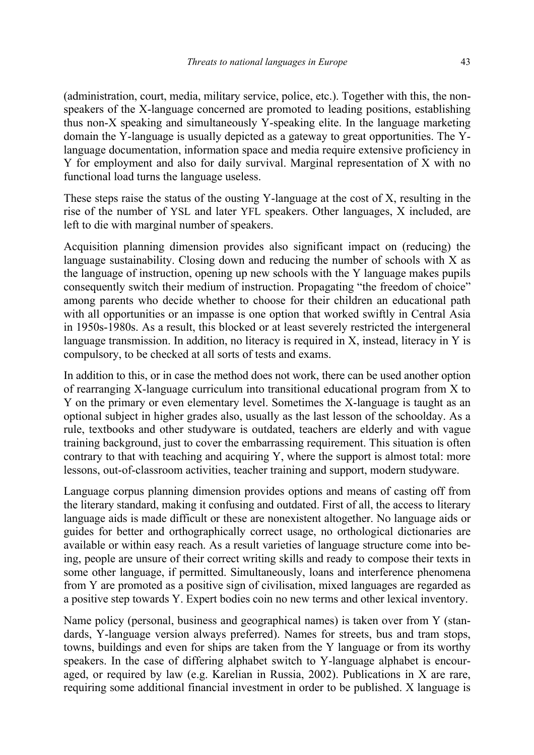(administration, court, media, military service, police, etc.). Together with this, the nonspeakers of the X-language concerned are promoted to leading positions, establishing thus non-X speaking and simultaneously Y-speaking elite. In the language marketing domain the Y-language is usually depicted as a gateway to great opportunities. The Ylanguage documentation, information space and media require extensive proficiency in Y for employment and also for daily survival. Marginal representation of X with no functional load turns the language useless.

These steps raise the status of the ousting Y-language at the cost of X, resulting in the rise of the number of YSL and later YFL speakers. Other languages, X included, are left to die with marginal number of speakers.

Acquisition planning dimension provides also significant impact on (reducing) the language sustainability. Closing down and reducing the number of schools with X as the language of instruction, opening up new schools with the Y language makes pupils consequently switch their medium of instruction. Propagating "the freedom of choice" among parents who decide whether to choose for their children an educational path with all opportunities or an impasse is one option that worked swiftly in Central Asia in 1950s-1980s. As a result, this blocked or at least severely restricted the intergeneral language transmission. In addition, no literacy is required in X, instead, literacy in Y is compulsory, to be checked at all sorts of tests and exams.

In addition to this, or in case the method does not work, there can be used another option of rearranging X-language curriculum into transitional educational program from X to Y on the primary or even elementary level. Sometimes the X-language is taught as an optional subject in higher grades also, usually as the last lesson of the schoolday. As a rule, textbooks and other studyware is outdated, teachers are elderly and with vague training background, just to cover the embarrassing requirement. This situation is often contrary to that with teaching and acquiring Y, where the support is almost total: more lessons, out-of-classroom activities, teacher training and support, modern studyware.

Language corpus planning dimension provides options and means of casting off from the literary standard, making it confusing and outdated. First of all, the access to literary language aids is made difficult or these are nonexistent altogether. No language aids or guides for better and orthographically correct usage, no orthological dictionaries are available or within easy reach. As a result varieties of language structure come into being, people are unsure of their correct writing skills and ready to compose their texts in some other language, if permitted. Simultaneously, loans and interference phenomena from Y are promoted as a positive sign of civilisation, mixed languages are regarded as a positive step towards Y. Expert bodies coin no new terms and other lexical inventory.

Name policy (personal, business and geographical names) is taken over from Y (standards, Y-language version always preferred). Names for streets, bus and tram stops, towns, buildings and even for ships are taken from the Y language or from its worthy speakers. In the case of differing alphabet switch to Y-language alphabet is encouraged, or required by law (e.g. Karelian in Russia, 2002). Publications in X are rare, requiring some additional financial investment in order to be published. X language is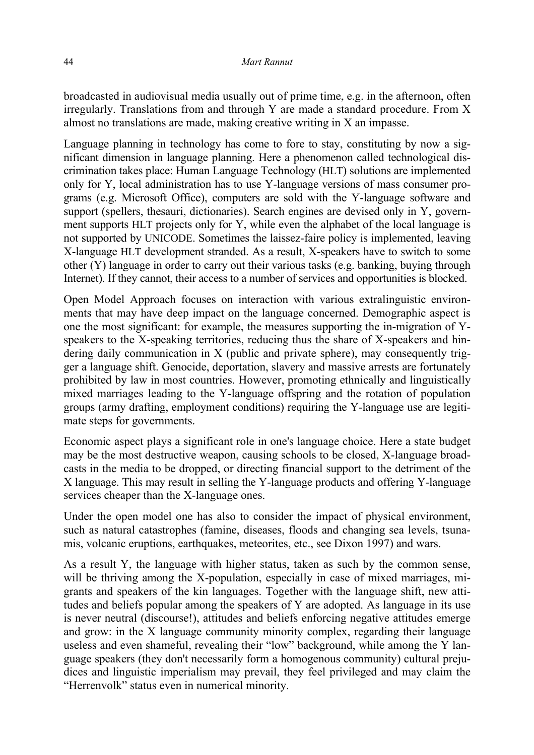broadcasted in audiovisual media usually out of prime time, e.g. in the afternoon, often irregularly. Translations from and through Y are made a standard procedure. From X almost no translations are made, making creative writing in X an impasse.

Language planning in technology has come to fore to stay, constituting by now a significant dimension in language planning. Here a phenomenon called technological discrimination takes place: Human Language Technology (HLT) solutions are implemented only for Y, local administration has to use Y-language versions of mass consumer programs (e.g. Microsoft Office), computers are sold with the Y-language software and support (spellers, thesauri, dictionaries). Search engines are devised only in Y, government supports HLT projects only for Y, while even the alphabet of the local language is not supported by UNICODE. Sometimes the laissez-faire policy is implemented, leaving X-language HLT development stranded. As a result, X-speakers have to switch to some other (Y) language in order to carry out their various tasks (e.g. banking, buying through Internet). If they cannot, their access to a number of services and opportunities is blocked.

Open Model Approach focuses on interaction with various extralinguistic environments that may have deep impact on the language concerned. Demographic aspect is one the most significant: for example, the measures supporting the in-migration of Yspeakers to the X-speaking territories, reducing thus the share of X-speakers and hindering daily communication in X (public and private sphere), may consequently trigger a language shift. Genocide, deportation, slavery and massive arrests are fortunately prohibited by law in most countries. However, promoting ethnically and linguistically mixed marriages leading to the Y-language offspring and the rotation of population groups (army drafting, employment conditions) requiring the Y-language use are legitimate steps for governments.

Economic aspect plays a significant role in one's language choice. Here a state budget may be the most destructive weapon, causing schools to be closed, X-language broadcasts in the media to be dropped, or directing financial support to the detriment of the X language. This may result in selling the Y-language products and offering Y-language services cheaper than the X-language ones.

Under the open model one has also to consider the impact of physical environment, such as natural catastrophes (famine, diseases, floods and changing sea levels, tsunamis, volcanic eruptions, earthquakes, meteorites, etc., see Dixon 1997) and wars.

As a result Y, the language with higher status, taken as such by the common sense, will be thriving among the X-population, especially in case of mixed marriages, migrants and speakers of the kin languages. Together with the language shift, new attitudes and beliefs popular among the speakers of Y are adopted. As language in its use is never neutral (discourse!), attitudes and beliefs enforcing negative attitudes emerge and grow: in the X language community minority complex, regarding their language useless and even shameful, revealing their "low" background, while among the Y language speakers (they don't necessarily form a homogenous community) cultural prejudices and linguistic imperialism may prevail, they feel privileged and may claim the "Herrenvolk" status even in numerical minority.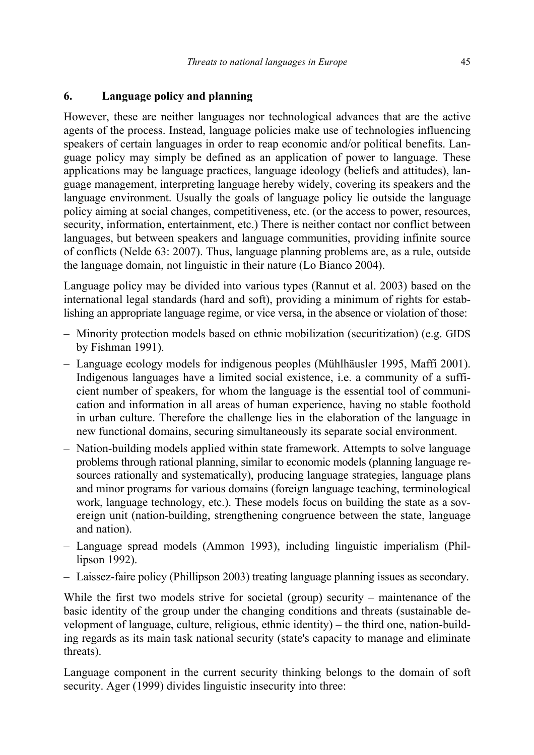# **6. Language policy and planning**

However, these are neither languages nor technological advances that are the active agents of the process. Instead, language policies make use of technologies influencing speakers of certain languages in order to reap economic and/or political benefits. Language policy may simply be defined as an application of power to language. These applications may be language practices, language ideology (beliefs and attitudes), language management, interpreting language hereby widely, covering its speakers and the language environment. Usually the goals of language policy lie outside the language policy aiming at social changes, competitiveness, etc. (or the access to power, resources, security, information, entertainment, etc.) There is neither contact nor conflict between languages, but between speakers and language communities, providing infinite source of conflicts (Nelde 63: 2007). Thus, language planning problems are, as a rule, outside the language domain, not linguistic in their nature (Lo Bianco 2004).

Language policy may be divided into various types (Rannut et al. 2003) based on the international legal standards (hard and soft), providing a minimum of rights for establishing an appropriate language regime, or vice versa, in the absence or violation of those:

- Minority protection models based on ethnic mobilization (securitization) (e.g. GIDS by Fishman 1991).
- Language ecology models for indigenous peoples (Mühlhäusler 1995, Maffi 2001). Indigenous languages have a limited social existence, i.e. a community of a sufficient number of speakers, for whom the language is the essential tool of communication and information in all areas of human experience, having no stable foothold in urban culture. Therefore the challenge lies in the elaboration of the language in new functional domains, securing simultaneously its separate social environment.
- Nation-building models applied within state framework. Attempts to solve language problems through rational planning, similar to economic models (planning language resources rationally and systematically), producing language strategies, language plans and minor programs for various domains (foreign language teaching, terminological work, language technology, etc.). These models focus on building the state as a sovereign unit (nation-building, strengthening congruence between the state, language and nation).
- Language spread models (Ammon 1993), including linguistic imperialism (Phillipson 1992).
- Laissez-faire policy (Phillipson 2003) treating language planning issues as secondary.

While the first two models strive for societal (group) security – maintenance of the basic identity of the group under the changing conditions and threats (sustainable development of language, culture, religious, ethnic identity) – the third one, nation-building regards as its main task national security (state's capacity to manage and eliminate threats).

Language component in the current security thinking belongs to the domain of soft security. Ager (1999) divides linguistic insecurity into three: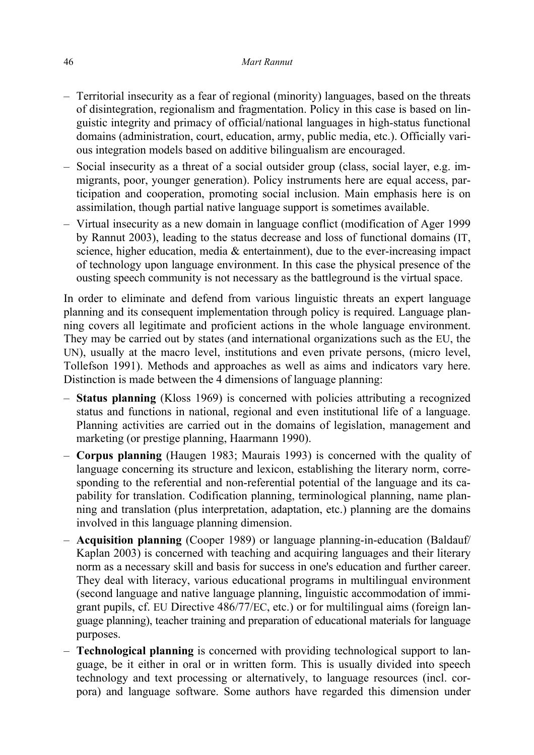- Territorial insecurity as a fear of regional (minority) languages, based on the threats of disintegration, regionalism and fragmentation. Policy in this case is based on linguistic integrity and primacy of official/national languages in high-status functional domains (administration, court, education, army, public media, etc.). Officially various integration models based on additive bilingualism are encouraged.
- Social insecurity as a threat of a social outsider group (class, social layer, e.g. immigrants, poor, younger generation). Policy instruments here are equal access, participation and cooperation, promoting social inclusion. Main emphasis here is on assimilation, though partial native language support is sometimes available.
- Virtual insecurity as a new domain in language conflict (modification of Ager 1999 by Rannut 2003), leading to the status decrease and loss of functional domains (IT, science, higher education, media  $\&$  entertainment), due to the ever-increasing impact of technology upon language environment. In this case the physical presence of the ousting speech community is not necessary as the battleground is the virtual space.

In order to eliminate and defend from various linguistic threats an expert language planning and its consequent implementation through policy is required. Language planning covers all legitimate and proficient actions in the whole language environment. They may be carried out by states (and international organizations such as the EU, the UN), usually at the macro level, institutions and even private persons, (micro level, Tollefson 1991). Methods and approaches as well as aims and indicators vary here. Distinction is made between the 4 dimensions of language planning:

- **Status planning** (Kloss 1969) is concerned with policies attributing a recognized status and functions in national, regional and even institutional life of a language. Planning activities are carried out in the domains of legislation, management and marketing (or prestige planning, Haarmann 1990).
- **Corpus planning** (Haugen 1983; Maurais 1993) is concerned with the quality of language concerning its structure and lexicon, establishing the literary norm, corresponding to the referential and non-referential potential of the language and its capability for translation. Codification planning, terminological planning, name planning and translation (plus interpretation, adaptation, etc.) planning are the domains involved in this language planning dimension.
- **Acquisition planning** (Cooper 1989) or language planning-in-education (Baldauf/ Kaplan 2003) is concerned with teaching and acquiring languages and their literary norm as a necessary skill and basis for success in one's education and further career. They deal with literacy, various educational programs in multilingual environment (second language and native language planning, linguistic accommodation of immigrant pupils, cf. EU Directive 486/77/EC, etc.) or for multilingual aims (foreign language planning), teacher training and preparation of educational materials for language purposes.
- **Technological planning** is concerned with providing technological support to language, be it either in oral or in written form. This is usually divided into speech technology and text processing or alternatively, to language resources (incl. corpora) and language software. Some authors have regarded this dimension under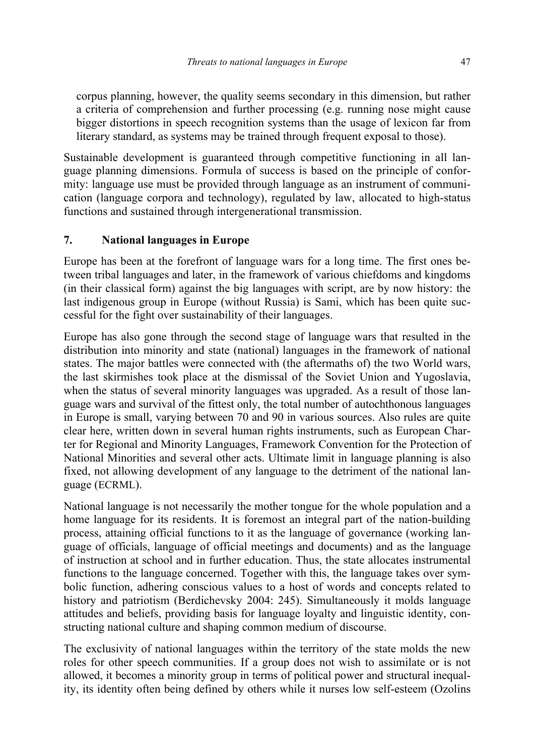corpus planning, however, the quality seems secondary in this dimension, but rather a criteria of comprehension and further processing (e.g. running nose might cause bigger distortions in speech recognition systems than the usage of lexicon far from literary standard, as systems may be trained through frequent exposal to those).

Sustainable development is guaranteed through competitive functioning in all language planning dimensions. Formula of success is based on the principle of conformity: language use must be provided through language as an instrument of communication (language corpora and technology), regulated by law, allocated to high-status functions and sustained through intergenerational transmission.

# **7. National languages in Europe**

Europe has been at the forefront of language wars for a long time. The first ones between tribal languages and later, in the framework of various chiefdoms and kingdoms (in their classical form) against the big languages with script, are by now history: the last indigenous group in Europe (without Russia) is Sami, which has been quite successful for the fight over sustainability of their languages.

Europe has also gone through the second stage of language wars that resulted in the distribution into minority and state (national) languages in the framework of national states. The major battles were connected with (the aftermaths of) the two World wars, the last skirmishes took place at the dismissal of the Soviet Union and Yugoslavia, when the status of several minority languages was upgraded. As a result of those language wars and survival of the fittest only, the total number of autochthonous languages in Europe is small, varying between 70 and 90 in various sources. Also rules are quite clear here, written down in several human rights instruments, such as European Charter for Regional and Minority Languages, Framework Convention for the Protection of National Minorities and several other acts. Ultimate limit in language planning is also fixed, not allowing development of any language to the detriment of the national language (ECRML).

National language is not necessarily the mother tongue for the whole population and a home language for its residents. It is foremost an integral part of the nation-building process, attaining official functions to it as the language of governance (working language of officials, language of official meetings and documents) and as the language of instruction at school and in further education. Thus, the state allocates instrumental functions to the language concerned. Together with this, the language takes over symbolic function, adhering conscious values to a host of words and concepts related to history and patriotism (Berdichevsky 2004: 245). Simultaneously it molds language attitudes and beliefs, providing basis for language loyalty and linguistic identity, constructing national culture and shaping common medium of discourse.

The exclusivity of national languages within the territory of the state molds the new roles for other speech communities. If a group does not wish to assimilate or is not allowed, it becomes a minority group in terms of political power and structural inequality, its identity often being defined by others while it nurses low self-esteem (Ozolins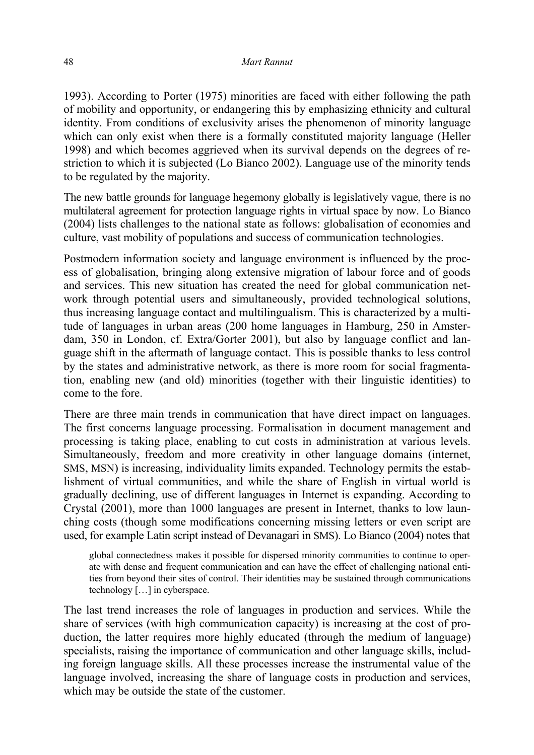1993). According to Porter (1975) minorities are faced with either following the path of mobility and opportunity, or endangering this by emphasizing ethnicity and cultural identity. From conditions of exclusivity arises the phenomenon of minority language which can only exist when there is a formally constituted majority language (Heller 1998) and which becomes aggrieved when its survival depends on the degrees of restriction to which it is subjected (Lo Bianco 2002). Language use of the minority tends to be regulated by the majority.

The new battle grounds for language hegemony globally is legislatively vague, there is no multilateral agreement for protection language rights in virtual space by now. Lo Bianco (2004) lists challenges to the national state as follows: globalisation of economies and culture, vast mobility of populations and success of communication technologies.

Postmodern information society and language environment is influenced by the process of globalisation, bringing along extensive migration of labour force and of goods and services. This new situation has created the need for global communication network through potential users and simultaneously, provided technological solutions, thus increasing language contact and multilingualism. This is characterized by a multitude of languages in urban areas (200 home languages in Hamburg, 250 in Amsterdam, 350 in London, cf. Extra/Gorter 2001), but also by language conflict and language shift in the aftermath of language contact. This is possible thanks to less control by the states and administrative network, as there is more room for social fragmentation, enabling new (and old) minorities (together with their linguistic identities) to come to the fore.

There are three main trends in communication that have direct impact on languages. The first concerns language processing. Formalisation in document management and processing is taking place, enabling to cut costs in administration at various levels. Simultaneously, freedom and more creativity in other language domains (internet, SMS, MSN) is increasing, individuality limits expanded. Technology permits the establishment of virtual communities, and while the share of English in virtual world is gradually declining, use of different languages in Internet is expanding. According to Crystal (2001), more than 1000 languages are present in Internet, thanks to low launching costs (though some modifications concerning missing letters or even script are used, for example Latin script instead of Devanagari in SMS). Lo Bianco (2004) notes that

global connectedness makes it possible for dispersed minority communities to continue to operate with dense and frequent communication and can have the effect of challenging national entities from beyond their sites of control. Their identities may be sustained through communications technology […] in cyberspace.

The last trend increases the role of languages in production and services. While the share of services (with high communication capacity) is increasing at the cost of production, the latter requires more highly educated (through the medium of language) specialists, raising the importance of communication and other language skills, including foreign language skills. All these processes increase the instrumental value of the language involved, increasing the share of language costs in production and services, which may be outside the state of the customer.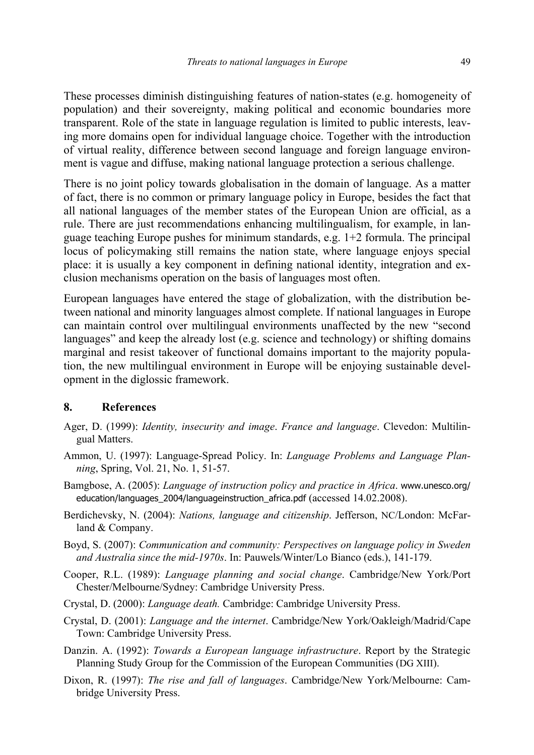These processes diminish distinguishing features of nation-states (e.g. homogeneity of population) and their sovereignty, making political and economic boundaries more transparent. Role of the state in language regulation is limited to public interests, leaving more domains open for individual language choice. Together with the introduction of virtual reality, difference between second language and foreign language environment is vague and diffuse, making national language protection a serious challenge.

There is no joint policy towards globalisation in the domain of language. As a matter of fact, there is no common or primary language policy in Europe, besides the fact that all national languages of the member states of the European Union are official, as a rule. There are just recommendations enhancing multilingualism, for example, in language teaching Europe pushes for minimum standards, e.g. 1+2 formula. The principal locus of policymaking still remains the nation state, where language enjoys special place: it is usually a key component in defining national identity, integration and exclusion mechanisms operation on the basis of languages most often.

European languages have entered the stage of globalization, with the distribution between national and minority languages almost complete. If national languages in Europe can maintain control over multilingual environments unaffected by the new "second languages" and keep the already lost (e.g. science and technology) or shifting domains marginal and resist takeover of functional domains important to the majority population, the new multilingual environment in Europe will be enjoying sustainable development in the diglossic framework.

#### **8. References**

- Ager, D. (1999): *Identity, insecurity and image*. *France and language*. Clevedon: Multilingual Matters.
- Ammon, U. (1997): Language-Spread Policy. In: *Language Problems and Language Planning*, Spring, Vol. 21, No. 1, 51-57.
- Bamgbose, A. (2005): *Language of instruction policy and practice in Africa*. www.unesco.org/ education/languages\_2004/languageinstruction\_africa.pdf (accessed 14.02.2008).
- Berdichevsky, N. (2004): *Nations, language and citizenship*. Jefferson, NC/London: McFarland & Company.
- Boyd, S. (2007): *Communication and community: Perspectives on language policy in Sweden and Australia since the mid-1970s*. In: Pauwels/Winter/Lo Bianco (eds.), 141-179.
- Cooper, R.L. (1989): *Language planning and social change*. Cambridge/New York/Port Chester/Melbourne/Sydney: Cambridge University Press.
- Crystal, D. (2000): *Language death.* Cambridge: Cambridge University Press.
- Crystal, D. (2001): *Language and the internet*. Cambridge/New York/Oakleigh/Madrid/Cape Town: Cambridge University Press.
- Danzin. A. (1992): *Towards a European language infrastructure*. Report by the Strategic Planning Study Group for the Commission of the European Communities (DG XIII).
- Dixon, R. (1997): *The rise and fall of languages*. Cambridge/New York/Melbourne: Cambridge University Press.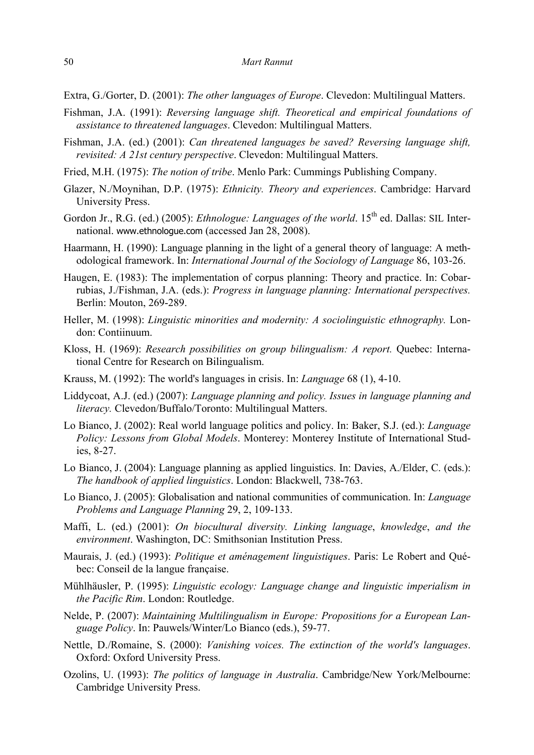Extra, G./Gorter, D. (2001): *The other languages of Europe*. Clevedon: Multilingual Matters.

- Fishman, J.A. (1991): *Reversing language shift. Theoretical and empirical foundations of assistance to threatened languages*. Clevedon: Multilingual Matters.
- Fishman, J.A. (ed.) (2001): *Can threatened languages be saved? Reversing language shift, revisited: A 21st century perspective*. Clevedon: Multilingual Matters.
- Fried, M.H. (1975): *The notion of tribe*. Menlo Park: Cummings Publishing Company.
- Glazer, N./Moynihan, D.P. (1975): *Ethnicity. Theory and experiences*. Cambridge: Harvard University Press.
- Gordon Jr., R.G. (ed.) (2005): *Ethnologue: Languages of the world*. 15<sup>th</sup> ed. Dallas: SIL International. www.ethnologue.com (accessed Jan 28, 2008).
- Haarmann, H. (1990): Language planning in the light of a general theory of language: A methodological framework. In: *International Journal of the Sociology of Language* 86, 103-26.
- Haugen, E. (1983): The implementation of corpus planning: Theory and practice. In: Cobarrubias, J./Fishman, J.A. (eds.): *Progress in language planning: International perspectives.*  Berlin: Mouton, 269-289.
- Heller, M. (1998): *Linguistic minorities and modernity: A sociolinguistic ethnography.* London: Contiinuum.
- Kloss, H. (1969): *Research possibilities on group bilingualism: A report.* Quebec: International Centre for Research on Bilingualism.
- Krauss, M. (1992): The world's languages in crisis. In: *Language* 68 (1), 4-10.
- Liddycoat, A.J. (ed.) (2007): *Language planning and policy. Issues in language planning and literacy.* Clevedon/Buffalo/Toronto: Multilingual Matters.
- Lo Bianco, J. (2002): Real world language politics and policy. In: Baker, S.J. (ed.): *Language Policy: Lessons from Global Models*. Monterey: Monterey Institute of International Studies, 8-27.
- Lo Bianco, J. (2004): Language planning as applied linguistics. In: Davies, A./Elder, C. (eds.): *The handbook of applied linguistics*. London: Blackwell, 738-763.
- Lo Bianco, J. (2005): Globalisation and national communities of communication. In: *Language Problems and Language Planning* 29, 2, 109-133.
- Maffi, L. (ed.) (2001): *On biocultural diversity. Linking language*, *knowledge*, *and the environment*. Washington, DC: Smithsonian Institution Press.
- Maurais, J. (ed.) (1993): *Politique et aménagement linguistiques*. Paris: Le Robert and Québec: Conseil de la langue française.
- Mühlhäusler, P. (1995): *Linguistic ecology: Language change and linguistic imperialism in the Pacific Rim*. London: Routledge.
- Nelde, P. (2007): *Maintaining Multilingualism in Europe: Propositions for a European Language Policy*. In: Pauwels/Winter/Lo Bianco (eds.), 59-77.
- Nettle, D./Romaine, S. (2000): *Vanishing voices. The extinction of the world's languages*. Oxford: Oxford University Press.
- Ozolins, U. (1993): *The politics of language in Australia*. Cambridge/New York/Melbourne: Cambridge University Press.